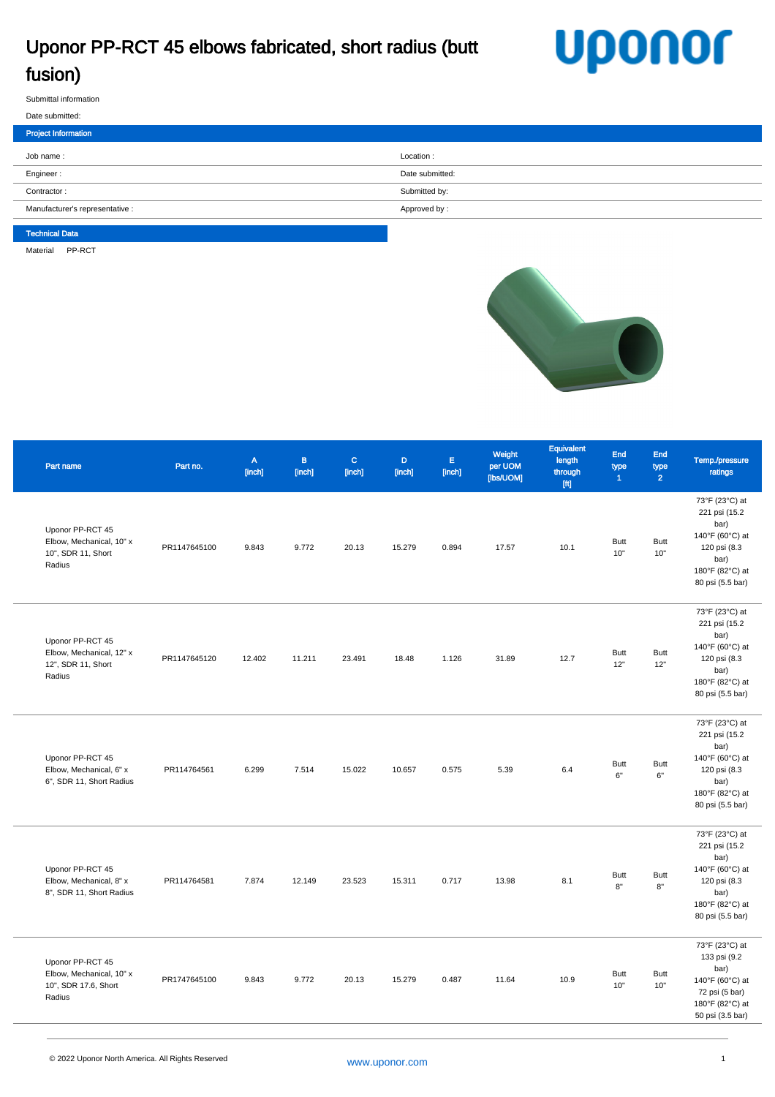## Uponor PP-RCT 45 elbows fabricated, short radius (butt fusion)

## **Uponor**

Submittal information

| Submittal information |  |
|-----------------------|--|
| Date submitted:       |  |

| _ _ _ _ _ _ _ _ _ _ _ _ _ _     |                 |
|---------------------------------|-----------------|
| Project Information             |                 |
| Job name:                       | Location:       |
| Engineer:                       | Date submitted: |
| Contractor:                     | Submitted by:   |
| Manufacturer's representative : | Approved by:    |
|                                 |                 |

## Technical Data

Material PP-RCT



| Part name                                                                      | Part no.     | $\mathbb A$<br>[inch] | $\mathbf B$<br>[inch] | $\mathbf{C}$<br>[inch] | D.<br>[inch] | $\mathsf{E}$<br>[inch] | Weight<br>per UOM<br>[lbs/UOM] | Equivalent<br>length<br>through<br>$[{\mathfrak{f}}{\mathfrak{t}}]$ | End<br>type<br>$\blacktriangleleft$ | End<br>type<br>$\overline{2}$ | Temp./pressure<br>ratings                                                                                                 |
|--------------------------------------------------------------------------------|--------------|-----------------------|-----------------------|------------------------|--------------|------------------------|--------------------------------|---------------------------------------------------------------------|-------------------------------------|-------------------------------|---------------------------------------------------------------------------------------------------------------------------|
| Uponor PP-RCT 45<br>Elbow, Mechanical, 10" x<br>10", SDR 11, Short<br>Radius   | PR1147645100 | 9.843                 | 9.772                 | 20.13                  | 15.279       | 0.894                  | 17.57                          | 10.1                                                                | <b>Butt</b><br>10"                  | <b>Butt</b><br>10"            | 73°F (23°C) at<br>221 psi (15.2<br>bar)<br>140°F (60°C) at<br>120 psi (8.3<br>bar)<br>180°F (82°C) at<br>80 psi (5.5 bar) |
| Uponor PP-RCT 45<br>Elbow, Mechanical, 12" x<br>12", SDR 11, Short<br>Radius   | PR1147645120 | 12.402                | 11.211                | 23.491                 | 18.48        | 1.126                  | 31.89                          | 12.7                                                                | Butt<br>12"                         | <b>Butt</b><br>12"            | 73°F (23°C) at<br>221 psi (15.2<br>bar)<br>140°F (60°C) at<br>120 psi (8.3<br>bar)<br>180°F (82°C) at<br>80 psi (5.5 bar) |
| Uponor PP-RCT 45<br>Elbow, Mechanical, 6" x<br>6", SDR 11, Short Radius        | PR114764561  | 6.299                 | 7.514                 | 15.022                 | 10.657       | 0.575                  | 5.39                           | 6.4                                                                 | <b>Butt</b><br>6"                   | <b>Butt</b><br>6"             | 73°F (23°C) at<br>221 psi (15.2<br>bar)<br>140°F (60°C) at<br>120 psi (8.3<br>bar)<br>180°F (82°C) at<br>80 psi (5.5 bar) |
| Uponor PP-RCT 45<br>Elbow, Mechanical, 8" x<br>8", SDR 11, Short Radius        | PR114764581  | 7.874                 | 12.149                | 23.523                 | 15.311       | 0.717                  | 13.98                          | 8.1                                                                 | <b>Butt</b><br>8"                   | <b>Butt</b><br>8"             | 73°F (23°C) at<br>221 psi (15.2<br>bar)<br>140°F (60°C) at<br>120 psi (8.3<br>bar)<br>180°F (82°C) at<br>80 psi (5.5 bar) |
| Uponor PP-RCT 45<br>Elbow, Mechanical, 10" x<br>10", SDR 17.6, Short<br>Radius | PR1747645100 | 9.843                 | 9.772                 | 20.13                  | 15.279       | 0.487                  | 11.64                          | 10.9                                                                | <b>Butt</b><br>10"                  | <b>Butt</b><br>10"            | 73°F (23°C) at<br>133 psi (9.2<br>bar)<br>140°F (60°C) at<br>72 psi (5 bar)<br>180°F (82°C) at<br>50 psi (3.5 bar)        |
|                                                                                |              |                       |                       |                        |              |                        |                                |                                                                     |                                     |                               |                                                                                                                           |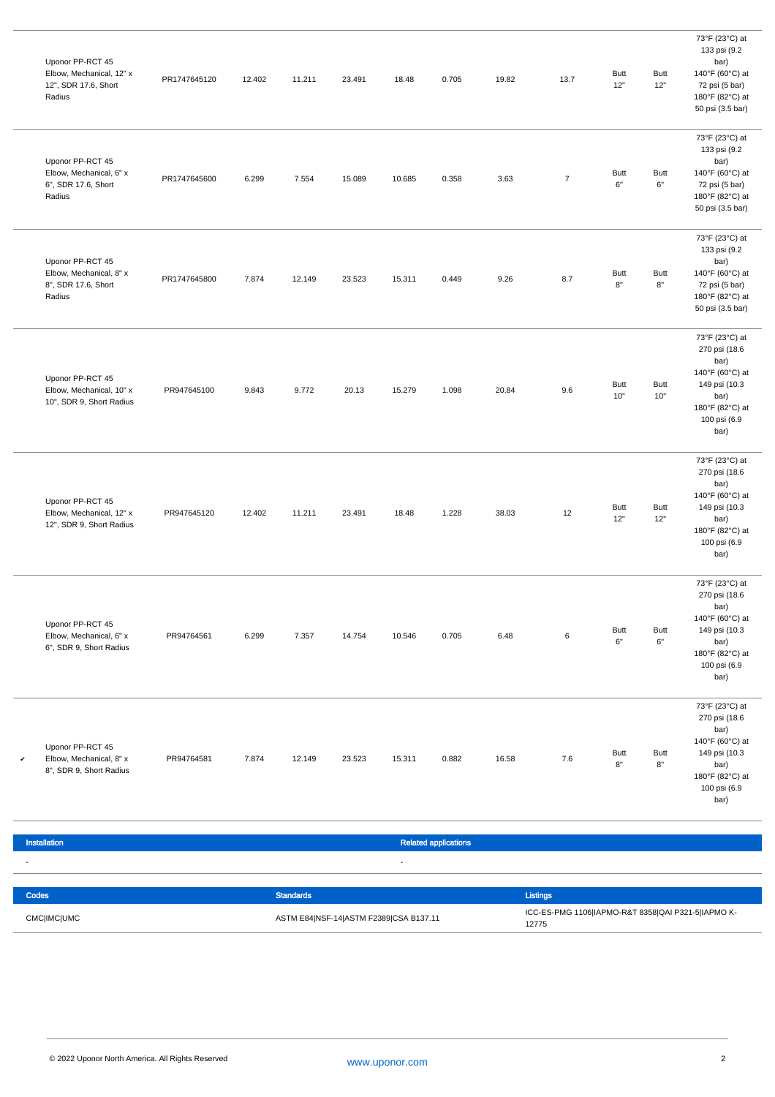| Uponor PP-RCT 45<br>Elbow, Mechanical, 12" x<br>12", SDR 17.6, Short<br>Radius | PR1747645120 | 12.402 | 11.211 | 23.491 | 18.48  | 0.705                       | 19.82 | 13.7    | Butt<br>12"        | <b>Butt</b><br>12"                 | 73°F (23°C) at<br>133 psi (9.2<br>bar)<br>140°F (60°C) at<br>72 psi (5 bar)<br>180°F (82°C) at<br>50 psi (3.5 bar)             |
|--------------------------------------------------------------------------------|--------------|--------|--------|--------|--------|-----------------------------|-------|---------|--------------------|------------------------------------|--------------------------------------------------------------------------------------------------------------------------------|
| Uponor PP-RCT 45<br>Elbow, Mechanical, 6" x<br>6", SDR 17.6, Short<br>Radius   | PR1747645600 | 6.299  | 7.554  | 15.089 | 10.685 | 0.358                       | 3.63  | $\bf 7$ | <b>Butt</b><br>6"  | <b>Butt</b><br>$6\rlap{.}^{\circ}$ | 73°F (23°C) at<br>133 psi (9.2<br>bar)<br>140°F (60°C) at<br>72 psi (5 bar)<br>180°F (82°C) at<br>50 psi (3.5 bar)             |
| Uponor PP-RCT 45<br>Elbow, Mechanical, 8" x<br>8", SDR 17.6, Short<br>Radius   | PR1747645800 | 7.874  | 12.149 | 23.523 | 15.311 | 0.449                       | 9.26  | 8.7     | <b>Butt</b><br>8"  | <b>Butt</b><br>$8\mathrm{"}$       | 73°F (23°C) at<br>133 psi (9.2<br>bar)<br>140°F (60°C) at<br>72 psi (5 bar)<br>180°F (82°C) at<br>50 psi (3.5 bar)             |
| Uponor PP-RCT 45<br>Elbow, Mechanical, 10" x<br>10", SDR 9, Short Radius       | PR947645100  | 9.843  | 9.772  | 20.13  | 15.279 | 1.098                       | 20.84 | 9.6     | Butt<br>10"        | <b>Butt</b><br>10"                 | 73°F (23°C) at<br>270 psi (18.6<br>bar)<br>140°F (60°C) at<br>149 psi (10.3<br>bar)<br>180°F (82°C) at<br>100 psi (6.9<br>bar) |
| Uponor PP-RCT 45<br>Elbow, Mechanical, 12" x<br>12", SDR 9, Short Radius       | PR947645120  | 12.402 | 11.211 | 23.491 | 18.48  | 1.228                       | 38.03 | 12      | <b>Butt</b><br>12" | <b>Butt</b><br>12"                 | 73°F (23°C) at<br>270 psi (18.6<br>bar)<br>140°F (60°C) at<br>149 psi (10.3<br>bar)<br>180°F (82°C) at<br>100 psi (6.9<br>bar) |
| Uponor PP-RCT 45<br>Elbow, Mechanical, 6" x<br>6", SDR 9, Short Radius         | PR94764561   | 6.299  | 7.357  | 14.754 | 10.546 | 0.705                       | 6.48  | 6       | <b>Butt</b><br>6"  | <b>Butt</b><br>$6\mathrm{"}$       | 73°F (23°C) at<br>270 psi (18.6<br>bar)<br>140°F (60°C) at<br>149 psi (10.3<br>bar)<br>180°F (82°C) at<br>100 psi (6.9<br>bar) |
| Uponor PP-RCT 45<br>Elbow, Mechanical, 8" x<br>v<br>8", SDR 9, Short Radius    | PR94764581   | 7.874  | 12.149 | 23.523 | 15.311 | 0.882                       | 16.58 | 7.6     | Butt<br>8"         | <b>Butt</b><br>8"                  | 73°F (23°C) at<br>270 psi (18.6<br>bar)<br>140°F (60°C) at<br>149 psi (10.3<br>bar)<br>180°F (82°C) at<br>100 psi (6.9<br>bar) |
| Installation                                                                   |              |        |        |        |        | <b>Related applications</b> |       |         |                    |                                    |                                                                                                                                |

| Codes              | Standards                              | Listings                                                    |
|--------------------|----------------------------------------|-------------------------------------------------------------|
| <b>CMC IMC UMC</b> | ASTM E84 NSF-14 ASTM F2389 CSA B137.11 | ICC-ES-PMG 1106 IAPMO-R&T 8358 QAI P321-5 IAPMO K-<br>12775 |

I

- -